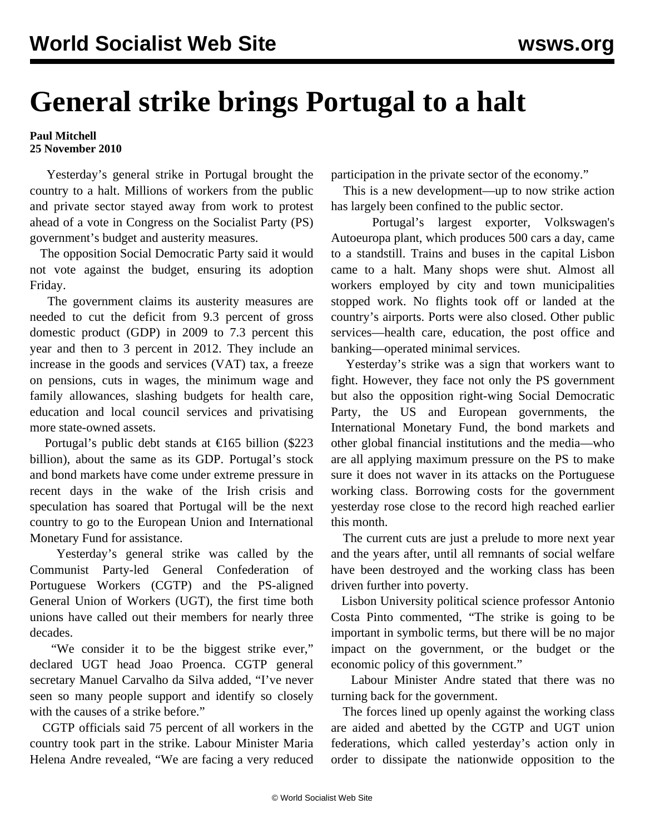## **General strike brings Portugal to a halt**

## **Paul Mitchell 25 November 2010**

 Yesterday's general strike in Portugal brought the country to a halt. Millions of workers from the public and private sector stayed away from work to protest ahead of a vote in Congress on the Socialist Party (PS) government's budget and austerity measures.

 The opposition Social Democratic Party said it would not vote against the budget, ensuring its adoption Friday.

 The government claims its austerity measures are needed to cut the deficit from 9.3 percent of gross domestic product (GDP) in 2009 to 7.3 percent this year and then to 3 percent in 2012. They include an increase in the goods and services (VAT) tax, a freeze on pensions, cuts in wages, the minimum wage and family allowances, slashing budgets for health care, education and local council services and privatising more state-owned assets.

Portugal's public debt stands at  $\epsilon$ 165 billion (\$223 billion), about the same as its GDP. Portugal's stock and bond markets have come under extreme pressure in recent days in the wake of the Irish crisis and speculation has soared that Portugal will be the next country to go to the European Union and International Monetary Fund for assistance.

 Yesterday's general strike was called by the Communist Party-led General Confederation of Portuguese Workers (CGTP) and the PS-aligned General Union of Workers (UGT), the first time both unions have called out their members for nearly three decades.

 "We consider it to be the biggest strike ever," declared UGT head Joao Proenca. CGTP general secretary Manuel Carvalho da Silva added, "I've never seen so many people support and identify so closely with the causes of a strike before."

 CGTP officials said 75 percent of all workers in the country took part in the strike. Labour Minister Maria Helena Andre revealed, "We are facing a very reduced participation in the private sector of the economy."

 This is a new development—up to now strike action has largely been confined to the public sector.

 Portugal's largest exporter, Volkswagen's Autoeuropa plant, which produces 500 cars a day, came to a standstill. Trains and buses in the capital Lisbon came to a halt. Many shops were shut. Almost all workers employed by city and town municipalities stopped work. No flights took off or landed at the country's airports. Ports were also closed. Other public services—health care, education, the post office and banking—operated minimal services.

 Yesterday's strike was a sign that workers want to fight. However, they face not only the PS government but also the opposition right-wing Social Democratic Party, the US and European governments, the International Monetary Fund, the bond markets and other global financial institutions and the media—who are all applying maximum pressure on the PS to make sure it does not waver in its attacks on the Portuguese working class. Borrowing costs for the government yesterday rose close to the record high reached earlier this month.

 The current cuts are just a prelude to more next year and the years after, until all remnants of social welfare have been destroyed and the working class has been driven further into poverty.

 Lisbon University political science professor Antonio Costa Pinto commented, "The strike is going to be important in symbolic terms, but there will be no major impact on the government, or the budget or the economic policy of this government."

 Labour Minister Andre stated that there was no turning back for the government.

 The forces lined up openly against the working class are aided and abetted by the CGTP and UGT union federations, which called yesterday's action only in order to dissipate the nationwide opposition to the